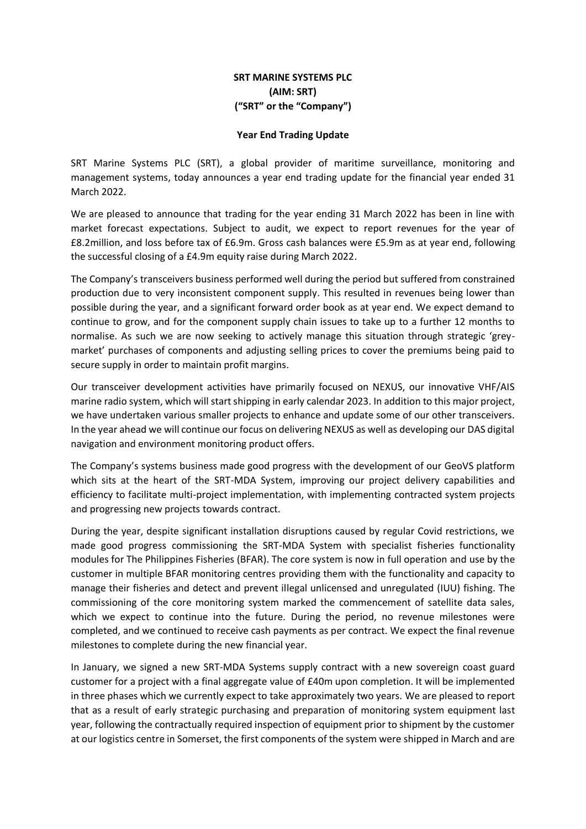# **SRT MARINE SYSTEMS PLC (AIM: SRT) ("SRT" or the "Company")**

## **Year End Trading Update**

SRT Marine Systems PLC (SRT), a global provider of maritime surveillance, monitoring and management systems, today announces a year end trading update for the financial year ended 31 March 2022.

We are pleased to announce that trading for the year ending 31 March 2022 has been in line with market forecast expectations. Subject to audit, we expect to report revenues for the year of £8.2million, and loss before tax of £6.9m. Gross cash balances were £5.9m as at year end, following the successful closing of a £4.9m equity raise during March 2022.

The Company's transceivers business performed well during the period but suffered from constrained production due to very inconsistent component supply. This resulted in revenues being lower than possible during the year, and a significant forward order book as at year end. We expect demand to continue to grow, and for the component supply chain issues to take up to a further 12 months to normalise. As such we are now seeking to actively manage this situation through strategic 'greymarket' purchases of components and adjusting selling prices to cover the premiums being paid to secure supply in order to maintain profit margins.

Our transceiver development activities have primarily focused on NEXUS, our innovative VHF/AIS marine radio system, which will start shipping in early calendar 2023. In addition to this major project, we have undertaken various smaller projects to enhance and update some of our other transceivers. In the year ahead we will continue our focus on delivering NEXUS as well as developing our DAS digital navigation and environment monitoring product offers.

The Company's systems business made good progress with the development of our GeoVS platform which sits at the heart of the SRT-MDA System, improving our project delivery capabilities and efficiency to facilitate multi-project implementation, with implementing contracted system projects and progressing new projects towards contract.

During the year, despite significant installation disruptions caused by regular Covid restrictions, we made good progress commissioning the SRT-MDA System with specialist fisheries functionality modules for The Philippines Fisheries (BFAR). The core system is now in full operation and use by the customer in multiple BFAR monitoring centres providing them with the functionality and capacity to manage their fisheries and detect and prevent illegal unlicensed and unregulated (IUU) fishing. The commissioning of the core monitoring system marked the commencement of satellite data sales, which we expect to continue into the future. During the period, no revenue milestones were completed, and we continued to receive cash payments as per contract. We expect the final revenue milestones to complete during the new financial year.

In January, we signed a new SRT-MDA Systems supply contract with a new sovereign coast guard customer for a project with a final aggregate value of £40m upon completion. It will be implemented in three phases which we currently expect to take approximately two years. We are pleased to report that as a result of early strategic purchasing and preparation of monitoring system equipment last year, following the contractually required inspection of equipment prior to shipment by the customer at our logistics centre in Somerset, the first components of the system were shipped in March and are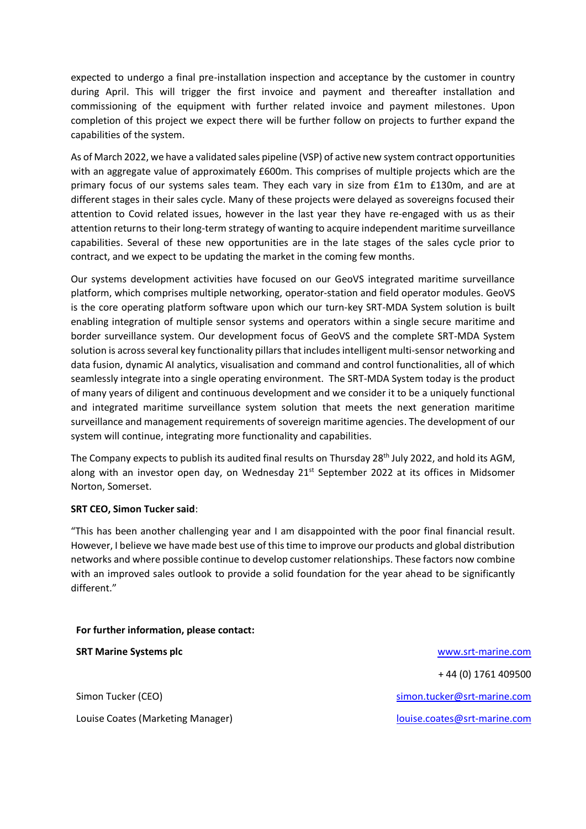expected to undergo a final pre-installation inspection and acceptance by the customer in country during April. This will trigger the first invoice and payment and thereafter installation and commissioning of the equipment with further related invoice and payment milestones. Upon completion of this project we expect there will be further follow on projects to further expand the capabilities of the system.

As of March 2022, we have a validated sales pipeline (VSP) of active new system contract opportunities with an aggregate value of approximately £600m. This comprises of multiple projects which are the primary focus of our systems sales team. They each vary in size from £1m to £130m, and are at different stages in their sales cycle. Many of these projects were delayed as sovereigns focused their attention to Covid related issues, however in the last year they have re-engaged with us as their attention returns to their long-term strategy of wanting to acquire independent maritime surveillance capabilities. Several of these new opportunities are in the late stages of the sales cycle prior to contract, and we expect to be updating the market in the coming few months.

Our systems development activities have focused on our GeoVS integrated maritime surveillance platform, which comprises multiple networking, operator-station and field operator modules. GeoVS is the core operating platform software upon which our turn-key SRT-MDA System solution is built enabling integration of multiple sensor systems and operators within a single secure maritime and border surveillance system. Our development focus of GeoVS and the complete SRT-MDA System solution is across several key functionality pillars that includes intelligent multi-sensor networking and data fusion, dynamic AI analytics, visualisation and command and control functionalities, all of which seamlessly integrate into a single operating environment. The SRT-MDA System today is the product of many years of diligent and continuous development and we consider it to be a uniquely functional and integrated maritime surveillance system solution that meets the next generation maritime surveillance and management requirements of sovereign maritime agencies. The development of our system will continue, integrating more functionality and capabilities.

The Company expects to publish its audited final results on Thursday 28<sup>th</sup> July 2022, and hold its AGM, along with an investor open day, on Wednesday 21<sup>st</sup> September 2022 at its offices in Midsomer Norton, Somerset.

# **SRT CEO, Simon Tucker said**:

"This has been another challenging year and I am disappointed with the poor final financial result. However, I believe we have made best use of this time to improve our products and global distribution networks and where possible continue to develop customer relationships. These factors now combine with an improved sales outlook to provide a solid foundation for the year ahead to be significantly different."

#### **For further information, please contact:**

Louise Coates (Marketing Manager) [louise.coates@srt-marine.com](mailto:louise.coates@srt-marine.com)

**SRT Marine Systems plc** [www.srt-marine.com](http://www.srt-marine.com/)  + 44 (0) 1761 409500 Simon Tucker (CEO) [simon.tucker@srt-marine.com](mailto:simon.tucker@srt-marine.com)